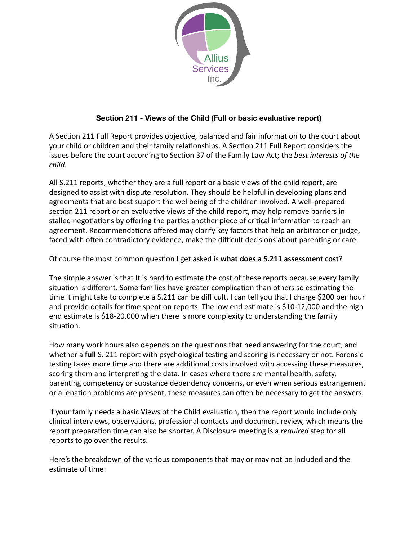

# **Section 211 - Views of the Child (Full or basic evaluative report)**

A Section 211 Full Report provides objective, balanced and fair information to the court about your child or children and their family relationships. A Section 211 Full Report considers the issues before the court according to Section 37 of the Family Law Act; the *best interests of the child*. 

All S.211 reports, whether they are a full report or a basic views of the child report, are designed to assist with dispute resolution. They should be helpful in developing plans and agreements that are best support the wellbeing of the children involved. A well-prepared section 211 report or an evaluative views of the child report, may help remove barriers in stalled negotiations by offering the parties another piece of critical information to reach an agreement. Recommendations offered may clarify key factors that help an arbitrator or judge, faced with often contradictory evidence, make the difficult decisions about parenting or care.

Of course the most common question I get asked is **what does a S.211 assessment cost**?

The simple answer is that It is hard to estimate the cost of these reports because every family situation is different. Some families have greater complication than others so estimating the time it might take to complete a S.211 can be difficult. I can tell you that I charge \$200 per hour and provide details for time spent on reports. The low end estimate is \$10-12,000 and the high end estimate is \$18-20,000 when there is more complexity to understanding the family situation.

How many work hours also depends on the questions that need answering for the court, and whether a **full** S. 211 report with psychological testing and scoring is necessary or not. Forensic testing takes more time and there are additional costs involved with accessing these measures, scoring them and interpreting the data. In cases where there are mental health, safety, parenting competency or substance dependency concerns, or even when serious estrangement or alienation problems are present, these measures can often be necessary to get the answers.

If your family needs a basic Views of the Child evaluation, then the report would include only clinical interviews, observations, professional contacts and document review, which means the report preparation time can also be shorter. A Disclosure meeting is a *required* step for all reports to go over the results.

Here's the breakdown of the various components that may or may not be included and the estimate of time: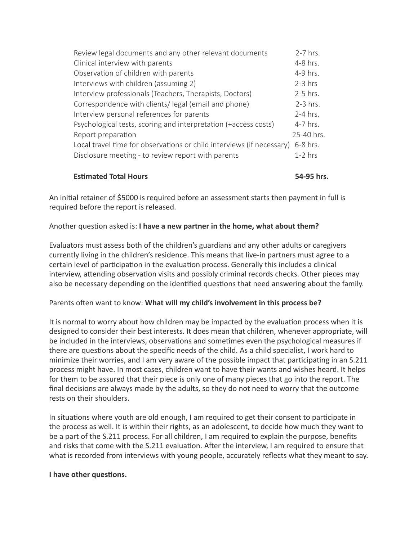| Review legal documents and any other relevant documents               | $2-7$ hrs. |
|-----------------------------------------------------------------------|------------|
| Clinical interview with parents                                       | 4-8 hrs.   |
| Observation of children with parents                                  | 4-9 hrs.   |
| Interviews with children (assuming 2)                                 | $2-3$ hrs  |
| Interview professionals (Teachers, Therapists, Doctors)               | 2-5 hrs.   |
| Correspondence with clients/legal (email and phone)                   | 2-3 hrs.   |
| Interview personal references for parents                             | $2-4$ hrs. |
| Psychological tests, scoring and interpretation (+access costs)       | 4-7 hrs.   |
| Report preparation                                                    | 25-40 hrs. |
| Local travel time for observations or child interviews (if necessary) | 6-8 hrs.   |
| Disclosure meeting - to review report with parents                    | $1-2$ hrs  |

# **Estimated Total Hours 54-95 hrs.**

An initial retainer of \$5000 is required before an assessment starts then payment in full is required before the report is released.

# Another question asked is: I have a new partner in the home, what about them?

Evaluators must assess both of the children's guardians and any other adults or caregivers currently living in the children's residence. This means that live-in partners must agree to a certain level of participation in the evaluation process. Generally this includes a clinical interview, attending observation visits and possibly criminal records checks. Other pieces may also be necessary depending on the identified questions that need answering about the family.

### Parents often want to know: What will my child's involvement in this process be?

It is normal to worry about how children may be impacted by the evaluation process when it is designed to consider their best interests. It does mean that children, whenever appropriate, will be included in the interviews, observations and sometimes even the psychological measures if there are questions about the specific needs of the child. As a child specialist, I work hard to minimize their worries, and I am very aware of the possible impact that participating in an S.211 process might have. In most cases, children want to have their wants and wishes heard. It helps for them to be assured that their piece is only one of many pieces that go into the report. The final decisions are always made by the adults, so they do not need to worry that the outcome rests on their shoulders.

In situations where youth are old enough, I am required to get their consent to participate in the process as well. It is within their rights, as an adolescent, to decide how much they want to be a part of the S.211 process. For all children, I am required to explain the purpose, benefits and risks that come with the S.211 evaluation. After the interview, I am required to ensure that what is recorded from interviews with young people, accurately reflects what they meant to say.

### **I** have other questions.